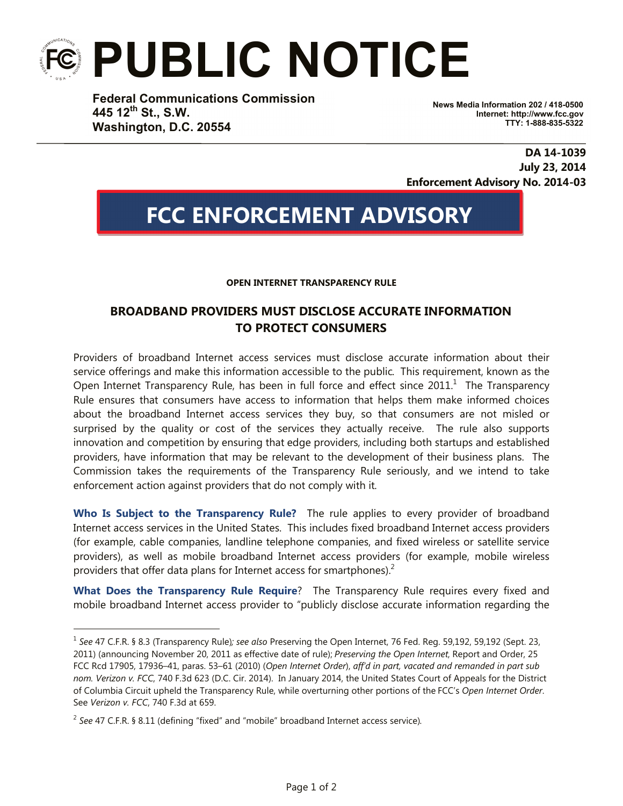## **PUBLIC NOTICE**

**Federal Communications Commission 445 12th St., S.W. Washington, D.C. 20554**

**News Media Information 202 / 418-0500 Internet: http://www.fcc.gov TTY: 1-888-835-5322**

**DA 14-1039 July 23, 2014 Enforcement Advisory No. 2014-03**

## **FCC ENFORCEMENT ADVISORY**

**OPEN INTERNET TRANSPARENCY RULE**

## **BROADBAND PROVIDERS MUST DISCLOSE ACCURATE INFORMATION TO PROTECT CONSUMERS**

Providers of broadband Internet access services must disclose accurate information about their service offerings and make this information accessible to the public. This requirement, known as the Open Internet Transparency Rule, has been in full force and effect since 2011. $^1$  The Transparency Rule ensures that consumers have access to information that helps them make informed choices about the broadband Internet access services they buy, so that consumers are not misled or surprised by the quality or cost of the services they actually receive. The rule also supports innovation and competition by ensuring that edge providers, including both startups and established providers, have information that may be relevant to the development of their business plans. The Commission takes the requirements of the Transparency Rule seriously, and we intend to take enforcement action against providers that do not comply with it.

**Who Is Subject to the Transparency Rule?** The rule applies to every provider of broadband Internet access services in the United States. This includes fixed broadband Internet access providers (for example, cable companies, landline telephone companies, and fixed wireless or satellite service providers), as well as mobile broadband Internet access providers (for example, mobile wireless providers that offer data plans for Internet access for smartphones). $<sup>2</sup>$ </sup>

**What Does the Transparency Rule Require**? The Transparency Rule requires every fixed and mobile broadband Internet access provider to "publicly disclose accurate information regarding the

i<br>T

<sup>1</sup> *See* 47 C.F.R. § 8.3 (Transparency Rule)*; see also* Preserving the Open Internet, 76 Fed. Reg. 59,192, 59,192 (Sept. 23, 2011) (announcing November 20, 2011 as effective date of rule); *Preserving the Open Internet*, Report and Order, 25 FCC Rcd 17905, 17936–41, paras. 53–61 (2010) (*Open Internet Order*), *aff'd in part, vacated and remanded in part sub nom. Verizon v. FCC*, 740 F.3d 623 (D.C. Cir. 2014). In January 2014, the United States Court of Appeals for the District of Columbia Circuit upheld the Transparency Rule, while overturning other portions of the FCC's *Open Internet Order*. See *Verizon v. FCC*, 740 F.3d at 659.

<sup>2</sup> *See* 47 C.F.R. § 8.11 (defining "fixed" and "mobile" broadband Internet access service).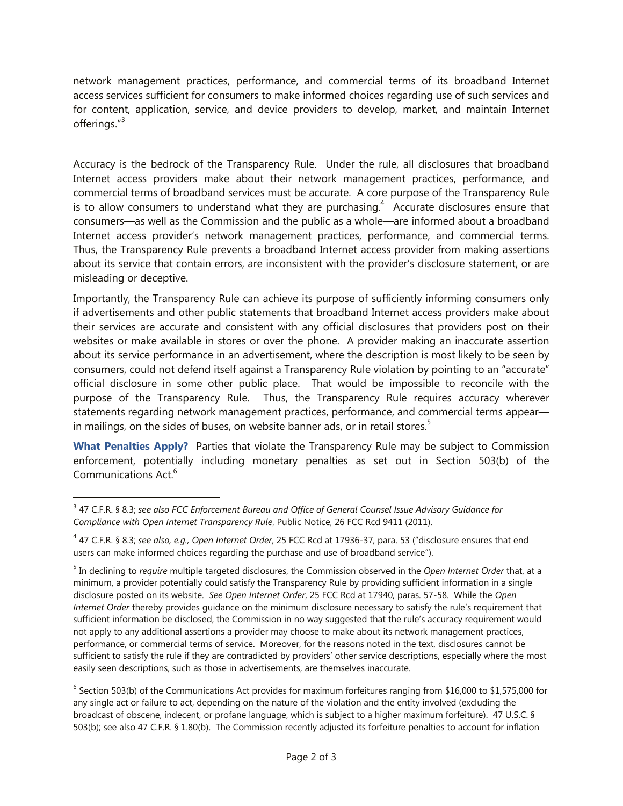network management practices, performance, and commercial terms of its broadband Internet access services sufficient for consumers to make informed choices regarding use of such services and for content, application, service, and device providers to develop, market, and maintain Internet offerings."<sup>3</sup>

Accuracy is the bedrock of the Transparency Rule. Under the rule, all disclosures that broadband Internet access providers make about their network management practices, performance, and commercial terms of broadband services must be accurate. A core purpose of the Transparency Rule is to allow consumers to understand what they are purchasing.<sup>4</sup> Accurate disclosures ensure that consumers—as well as the Commission and the public as a whole—are informed about a broadband Internet access provider's network management practices, performance, and commercial terms. Thus, the Transparency Rule prevents a broadband Internet access provider from making assertions about its service that contain errors, are inconsistent with the provider's disclosure statement, or are misleading or deceptive.

Importantly, the Transparency Rule can achieve its purpose of sufficiently informing consumers only if advertisements and other public statements that broadband Internet access providers make about their services are accurate and consistent with any official disclosures that providers post on their websites or make available in stores or over the phone. A provider making an inaccurate assertion about its service performance in an advertisement, where the description is most likely to be seen by consumers, could not defend itself against a Transparency Rule violation by pointing to an "accurate" official disclosure in some other public place. That would be impossible to reconcile with the purpose of the Transparency Rule. Thus, the Transparency Rule requires accuracy wherever statements regarding network management practices, performance, and commercial terms appear in mailings, on the sides of buses, on website banner ads, or in retail stores.<sup>5</sup>

**What Penalties Apply?** Parties that violate the Transparency Rule may be subject to Commission enforcement, potentially including monetary penalties as set out in Section 503(b) of the Communications Act.<sup>6</sup>

i

 $6$  Section 503(b) of the Communications Act provides for maximum forfeitures ranging from \$16,000 to \$1,575,000 for any single act or failure to act, depending on the nature of the violation and the entity involved (excluding the broadcast of obscene, indecent, or profane language, which is subject to a higher maximum forfeiture). 47 U.S.C. § 503(b); see also 47 C.F.R. § 1.80(b). The Commission recently adjusted its forfeiture penalties to account for inflation

<sup>3</sup> 47 C.F.R. § 8.3; *see also FCC Enforcement Bureau and Office of General Counsel Issue Advisory Guidance for Compliance with Open Internet Transparency Rule*, Public Notice, 26 FCC Rcd 9411 (2011).

<sup>4</sup> 47 C.F.R. § 8.3; *see also, e.g., Open Internet Order*, 25 FCC Rcd at 17936-37, para. 53 ("disclosure ensures that end users can make informed choices regarding the purchase and use of broadband service").

<sup>5</sup> In declining to *require* multiple targeted disclosures, the Commission observed in the *Open Internet Order* that, at a minimum, a provider potentially could satisfy the Transparency Rule by providing sufficient information in a single disclosure posted on its website. *See Open Internet Order*, 25 FCC Rcd at 17940, paras. 57-58. While the *Open Internet Order* thereby provides guidance on the minimum disclosure necessary to satisfy the rule's requirement that sufficient information be disclosed, the Commission in no way suggested that the rule's accuracy requirement would not apply to any additional assertions a provider may choose to make about its network management practices, performance, or commercial terms of service. Moreover, for the reasons noted in the text, disclosures cannot be sufficient to satisfy the rule if they are contradicted by providers' other service descriptions, especially where the most easily seen descriptions, such as those in advertisements, are themselves inaccurate.